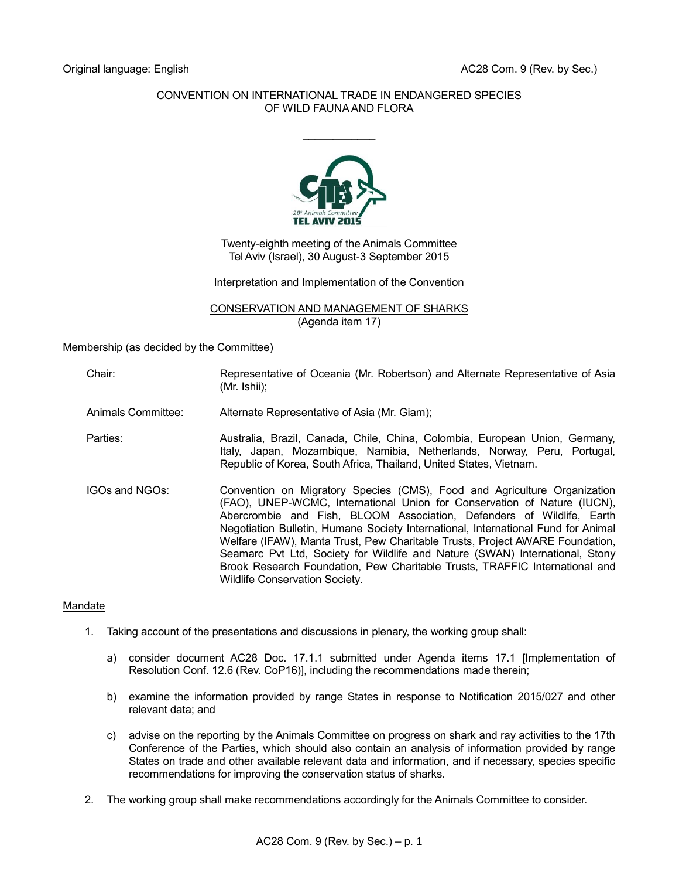## CONVENTION ON INTERNATIONAL TRADE IN ENDANGERED SPECIES OF WILD FAUNA AND FLORA

 $\frac{1}{2}$ 



Twenty-eighth meeting of the Animals Committee Tel Aviv (Israel), 30 August-3 September 2015

Interpretation and Implementation of the Convention

CONSERVATION AND MANAGEMENT OF SHARKS (Agenda item 17)

Membership (as decided by the Committee)

Chair: Representative of Oceania (Mr. Robertson) and Alternate Representative of Asia (Mr. Ishii);

Animals Committee: Alternate Representative of Asia (Mr. Giam);

- Parties: Australia, Brazil, Canada, Chile, China, Colombia, European Union, Germany, Italy, Japan, Mozambique, Namibia, Netherlands, Norway, Peru, Portugal, Republic of Korea, South Africa, Thailand, United States, Vietnam.
- IGOs and NGOs: Convention on Migratory Species (CMS), Food and Agriculture Organization (FAO), UNEP-WCMC, International Union for Conservation of Nature (IUCN), Abercrombie and Fish, BLOOM Association, Defenders of Wildlife, Earth Negotiation Bulletin, Humane Society International, International Fund for Animal Welfare (IFAW), Manta Trust, Pew Charitable Trusts, Project AWARE Foundation, Seamarc Pvt Ltd, Society for Wildlife and Nature (SWAN) International, Stony Brook Research Foundation, Pew Charitable Trusts, TRAFFIC International and Wildlife Conservation Society.

## Mandate

- 1. Taking account of the presentations and discussions in plenary, the working group shall:
	- a) consider document AC28 Doc. 17.1.1 submitted under Agenda items 17.1 [Implementation of Resolution Conf. 12.6 (Rev. CoP16)], including the recommendations made therein;
	- b) examine the information provided by range States in response to Notification 2015/027 and other relevant data; and
	- c) advise on the reporting by the Animals Committee on progress on shark and ray activities to the 17th Conference of the Parties, which should also contain an analysis of information provided by range States on trade and other available relevant data and information, and if necessary, species specific recommendations for improving the conservation status of sharks.
- 2. The working group shall make recommendations accordingly for the Animals Committee to consider.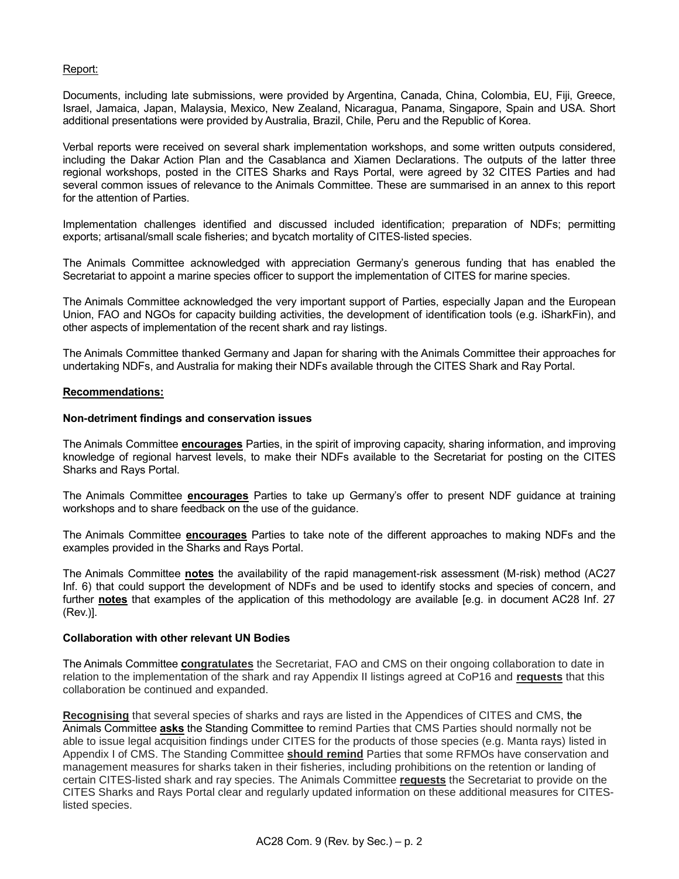## Report:

Documents, including late submissions, were provided by Argentina, Canada, China, Colombia, EU, Fiji, Greece, Israel, Jamaica, Japan, Malaysia, Mexico, New Zealand, Nicaragua, Panama, Singapore, Spain and USA. Short additional presentations were provided by Australia, Brazil, Chile, Peru and the Republic of Korea.

Verbal reports were received on several shark implementation workshops, and some written outputs considered, including the Dakar Action Plan and the Casablanca and Xiamen Declarations. The outputs of the latter three regional workshops, posted in the CITES Sharks and Rays Portal, were agreed by 32 CITES Parties and had several common issues of relevance to the Animals Committee. These are summarised in an annex to this report for the attention of Parties.

Implementation challenges identified and discussed included identification; preparation of NDFs; permitting exports; artisanal/small scale fisheries; and bycatch mortality of CITES-listed species.

The Animals Committee acknowledged with appreciation Germany's generous funding that has enabled the Secretariat to appoint a marine species officer to support the implementation of CITES for marine species.

The Animals Committee acknowledged the very important support of Parties, especially Japan and the European Union, FAO and NGOs for capacity building activities, the development of identification tools (e.g. iSharkFin), and other aspects of implementation of the recent shark and ray listings.

The Animals Committee thanked Germany and Japan for sharing with the Animals Committee their approaches for undertaking NDFs, and Australia for making their NDFs available through the CITES Shark and Ray Portal.

### **Recommendations:**

### **Non-detriment findings and conservation issues**

The Animals Committee **encourages** Parties, in the spirit of improving capacity, sharing information, and improving knowledge of regional harvest levels, to make their NDFs available to the Secretariat for posting on the CITES Sharks and Rays Portal.

The Animals Committee **encourages** Parties to take up Germany's offer to present NDF guidance at training workshops and to share feedback on the use of the guidance.

The Animals Committee **encourages** Parties to take note of the different approaches to making NDFs and the examples provided in the Sharks and Rays Portal.

The Animals Committee **notes** the availability of the rapid management-risk assessment (M-risk) method (AC27 Inf. 6) that could support the development of NDFs and be used to identify stocks and species of concern, and further **notes** that examples of the application of this methodology are available [e.g. in document AC28 Inf. 27 (Rev.)].

# **Collaboration with other relevant UN Bodies**

The Animals Committee **congratulates** the Secretariat, FAO and CMS on their ongoing collaboration to date in relation to the implementation of the shark and ray Appendix II listings agreed at CoP16 and **requests** that this collaboration be continued and expanded.

**Recognising** that several species of sharks and rays are listed in the Appendices of CITES and CMS, the Animals Committee **asks** the Standing Committee to remind Parties that CMS Parties should normally not be able to issue legal acquisition findings under CITES for the products of those species (e.g. Manta rays) listed in Appendix I of CMS. The Standing Committee **should remind** Parties that some RFMOs have conservation and management measures for sharks taken in their fisheries, including prohibitions on the retention or landing of certain CITES-listed shark and ray species. The Animals Committee **requests** the Secretariat to provide on the CITES Sharks and Rays Portal clear and regularly updated information on these additional measures for CITESlisted species.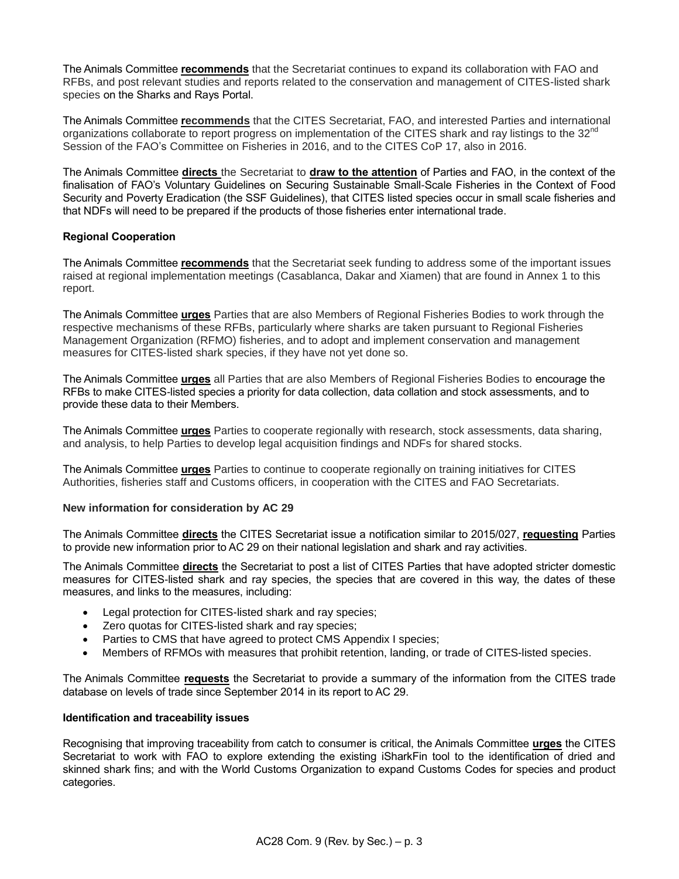The Animals Committee **recommends** that the Secretariat continues to expand its collaboration with FAO and RFBs, and post relevant studies and reports related to the conservation and management of CITES-listed shark species on the Sharks and Rays Portal.

The Animals Committee **recommends** that the CITES Secretariat, FAO, and interested Parties and international organizations collaborate to report progress on implementation of the CITES shark and ray listings to the 32<sup>nd</sup> Session of the FAO's Committee on Fisheries in 2016, and to the CITES CoP 17, also in 2016.

The Animals Committee **directs** the Secretariat to **draw to the attention** of Parties and FAO, in the context of the finalisation of FAO's Voluntary Guidelines on Securing Sustainable Small-Scale Fisheries in the Context of Food Security and Poverty Eradication (the SSF Guidelines), that CITES listed species occur in small scale fisheries and that NDFs will need to be prepared if the products of those fisheries enter international trade.

## **Regional Cooperation**

The Animals Committee **recommends** that the Secretariat seek funding to address some of the important issues raised at regional implementation meetings (Casablanca, Dakar and Xiamen) that are found in Annex 1 to this report.

The Animals Committee **urges** Parties that are also Members of Regional Fisheries Bodies to work through the respective mechanisms of these RFBs, particularly where sharks are taken pursuant to Regional Fisheries Management Organization (RFMO) fisheries, and to adopt and implement conservation and management measures for CITES-listed shark species, if they have not yet done so.

The Animals Committee **urges** all Parties that are also Members of Regional Fisheries Bodies to encourage the RFBs to make CITES-listed species a priority for data collection, data collation and stock assessments, and to provide these data to their Members.

The Animals Committee **urges** Parties to cooperate regionally with research, stock assessments, data sharing, and analysis, to help Parties to develop legal acquisition findings and NDFs for shared stocks.

The Animals Committee **urges** Parties to continue to cooperate regionally on training initiatives for CITES Authorities, fisheries staff and Customs officers, in cooperation with the CITES and FAO Secretariats.

## **New information for consideration by AC 29**

The Animals Committee **directs** the CITES Secretariat issue a notification similar to 2015/027, **requesting** Parties to provide new information prior to AC 29 on their national legislation and shark and ray activities.

The Animals Committee **directs** the Secretariat to post a list of CITES Parties that have adopted stricter domestic measures for CITES-listed shark and ray species, the species that are covered in this way, the dates of these measures, and links to the measures, including:

- Legal protection for CITES-listed shark and ray species;
- Zero quotas for CITES-listed shark and ray species;
- Parties to CMS that have agreed to protect CMS Appendix I species;
- Members of RFMOs with measures that prohibit retention, landing, or trade of CITES-listed species.

The Animals Committee **requests** the Secretariat to provide a summary of the information from the CITES trade database on levels of trade since September 2014 in its report to AC 29.

## **Identification and traceability issues**

Recognising that improving traceability from catch to consumer is critical, the Animals Committee **urges** the CITES Secretariat to work with FAO to explore extending the existing iSharkFin tool to the identification of dried and skinned shark fins; and with the World Customs Organization to expand Customs Codes for species and product categories.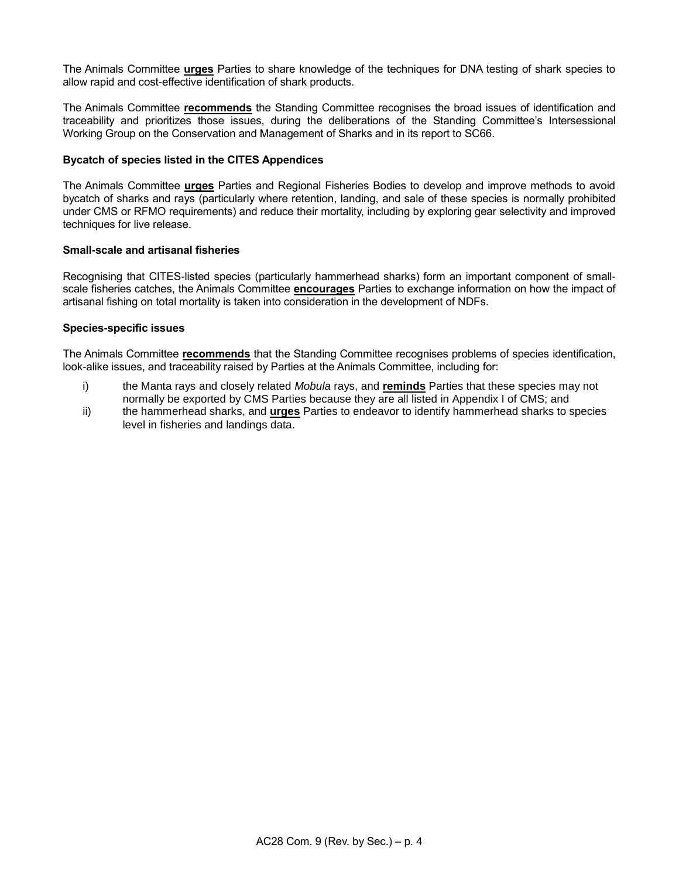The Animals Committee **urges** Parties to share knowledge of the techniques for DNA testing of shark species to allow rapid and cost-effective identification of shark products.

The Animals Committee **recommends** the Standing Committee recognises the broad issues of identification and traceability and prioritizes those issues, during the deliberations of the Standing Committee's Intersessional Working Group on the Conservation and Management of Sharks and in its report to SC66.

### **Bycatch of species listed in the CITES Appendices**

The Animals Committee **urges** Parties and Regional Fisheries Bodies to develop and improve methods to avoid bycatch of sharks and rays (particularly where retention, landing, and sale of these species is normally prohibited under CMS or RFMO requirements) and reduce their mortality, including by exploring gear selectivity and improved techniques for live release.

### **Small-scale and artisanal fisheries**

Recognising that CITES-listed species (particularly hammerhead sharks) form an important component of smallscale fisheries catches, the Animals Committee **encourages** Parties to exchange information on how the impact of artisanal fishing on total mortality is taken into consideration in the development of NDFs.

### **Species-specific issues**

The Animals Committee **recommends** that the Standing Committee recognises problems of species identification, look-alike issues, and traceability raised by Parties at the Animals Committee, including for:

- i) the Manta rays and closely related *Mobula* rays, and **reminds** Parties that these species may not normally be exported by CMS Parties because they are all listed in Appendix I of CMS; and
- ii) the hammerhead sharks, and **urges** Parties to endeavor to identify hammerhead sharks to species level in fisheries and landings data.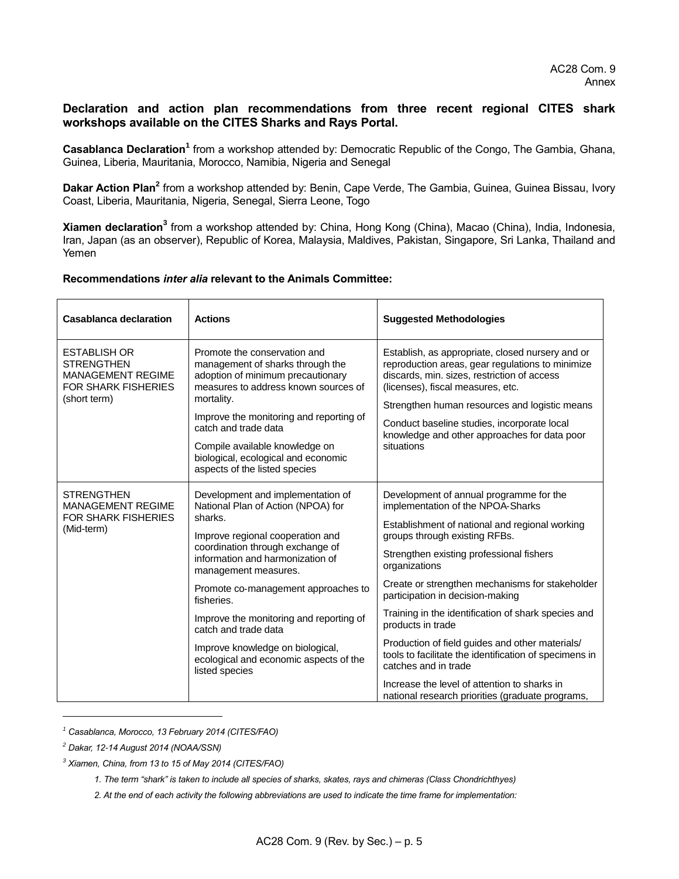## **Declaration and action plan recommendations from three recent regional CITES shark workshops available on the CITES Sharks and Rays Portal.**

Casablanca Declaration<sup>1</sup> from a workshop attended by: Democratic Republic of the Congo, The Gambia, Ghana, Guinea, Liberia, Mauritania, Morocco, Namibia, Nigeria and Senegal

Dakar Action Plan<sup>2</sup> from a workshop attended by: Benin, Cape Verde, The Gambia, Guinea, Guinea Bissau, Ivory Coast, Liberia, Mauritania, Nigeria, Senegal, Sierra Leone, Togo

**Xiamen declaration<sup>3</sup>** from a workshop attended by: China, Hong Kong (China), Macao (China), India, Indonesia, Iran, Japan (as an observer), Republic of Korea, Malaysia, Maldives, Pakistan, Singapore, Sri Lanka, Thailand and Yemen

#### **Recommendations** *inter alia* **relevant to the Animals Committee:**

| <b>Casablanca declaration</b>                                                                                      | <b>Actions</b>                                                                                                                                                                                                                                                                                                                                                                                                                                 | <b>Suggested Methodologies</b>                                                                                                                                                                                                                                                                                                                                                                                                                                                                                                                                                                                                           |
|--------------------------------------------------------------------------------------------------------------------|------------------------------------------------------------------------------------------------------------------------------------------------------------------------------------------------------------------------------------------------------------------------------------------------------------------------------------------------------------------------------------------------------------------------------------------------|------------------------------------------------------------------------------------------------------------------------------------------------------------------------------------------------------------------------------------------------------------------------------------------------------------------------------------------------------------------------------------------------------------------------------------------------------------------------------------------------------------------------------------------------------------------------------------------------------------------------------------------|
| <b>ESTABLISH OR</b><br><b>STRENGTHEN</b><br><b>MANAGEMENT REGIME</b><br><b>FOR SHARK FISHERIES</b><br>(short term) | Promote the conservation and<br>management of sharks through the<br>adoption of minimum precautionary<br>measures to address known sources of<br>mortality.<br>Improve the monitoring and reporting of<br>catch and trade data<br>Compile available knowledge on<br>biological, ecological and economic<br>aspects of the listed species                                                                                                       | Establish, as appropriate, closed nursery and or<br>reproduction areas, gear regulations to minimize<br>discards, min. sizes, restriction of access<br>(licenses), fiscal measures, etc.<br>Strengthen human resources and logistic means<br>Conduct baseline studies, incorporate local<br>knowledge and other approaches for data poor<br>situations                                                                                                                                                                                                                                                                                   |
| <b>STRENGTHEN</b><br><b>MANAGEMENT REGIME</b><br><b>FOR SHARK FISHERIES</b><br>(Mid-term)                          | Development and implementation of<br>National Plan of Action (NPOA) for<br>sharks.<br>Improve regional cooperation and<br>coordination through exchange of<br>information and harmonization of<br>management measures.<br>Promote co-management approaches to<br>fisheries.<br>Improve the monitoring and reporting of<br>catch and trade data<br>Improve knowledge on biological,<br>ecological and economic aspects of the<br>listed species | Development of annual programme for the<br>implementation of the NPOA-Sharks<br>Establishment of national and regional working<br>groups through existing RFBs.<br>Strengthen existing professional fishers<br>organizations<br>Create or strengthen mechanisms for stakeholder<br>participation in decision-making<br>Training in the identification of shark species and<br>products in trade<br>Production of field guides and other materials/<br>tools to facilitate the identification of specimens in<br>catches and in trade<br>Increase the level of attention to sharks in<br>national research priorities (graduate programs, |

*<sup>1</sup> Casablanca, Morocco, 13 February 2014 (CITES/FAO)*

l

*<sup>2</sup> Dakar, 12-14 August 2014 (NOAA/SSN)* 

*<sup>3</sup> Xiamen, China, from 13 to 15 of May 2014 (CITES/FAO)*

*<sup>1.</sup> The term "shark" is taken to include all species of sharks, skates, rays and chimeras (Class Chondrichthyes)*

*<sup>2.</sup> At the end of each activity the following abbreviations are used to indicate the time frame for implementation:*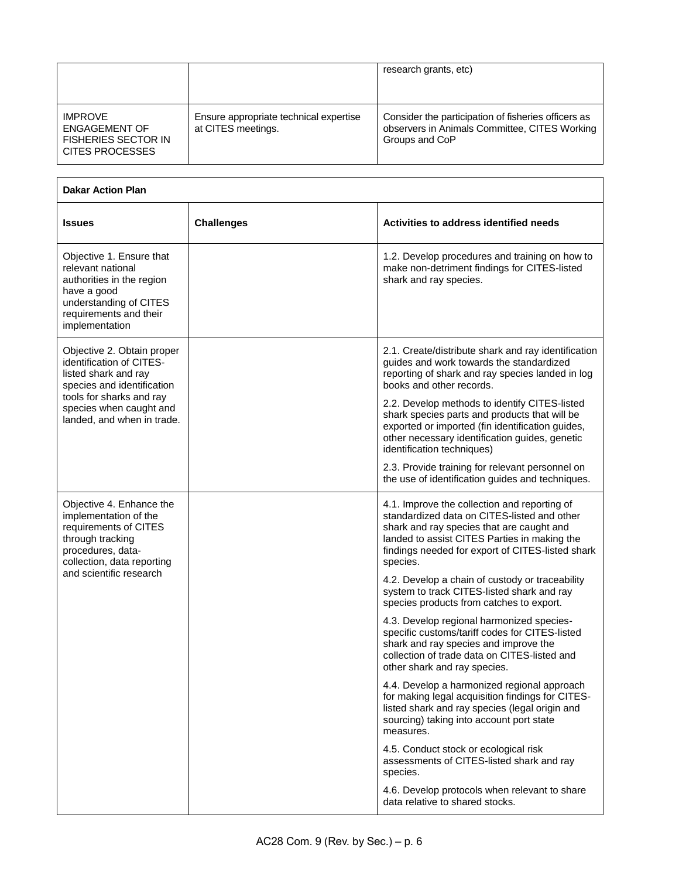|                                                                                         |                                                              | research grants, etc)                                                                                                  |
|-----------------------------------------------------------------------------------------|--------------------------------------------------------------|------------------------------------------------------------------------------------------------------------------------|
| <b>IMPROVE</b><br><b>ENGAGEMENT OF</b><br><b>FISHERIES SECTOR IN</b><br>CITES PROCESSES | Ensure appropriate technical expertise<br>at CITES meetings. | Consider the participation of fisheries officers as<br>observers in Animals Committee, CITES Working<br>Groups and CoP |

| <b>Dakar Action Plan</b>                                                                                                                                        |                   |                                                                                                                                                                                                                                                          |
|-----------------------------------------------------------------------------------------------------------------------------------------------------------------|-------------------|----------------------------------------------------------------------------------------------------------------------------------------------------------------------------------------------------------------------------------------------------------|
| <b>Issues</b>                                                                                                                                                   | <b>Challenges</b> | Activities to address identified needs                                                                                                                                                                                                                   |
| Objective 1. Ensure that<br>relevant national<br>authorities in the region<br>have a good<br>understanding of CITES<br>requirements and their<br>implementation |                   | 1.2. Develop procedures and training on how to<br>make non-detriment findings for CITES-listed<br>shark and ray species.                                                                                                                                 |
| Objective 2. Obtain proper<br>identification of CITES-<br>listed shark and ray<br>species and identification                                                    |                   | 2.1. Create/distribute shark and ray identification<br>guides and work towards the standardized<br>reporting of shark and ray species landed in log<br>books and other records.                                                                          |
| tools for sharks and ray<br>species when caught and<br>landed, and when in trade.                                                                               |                   | 2.2. Develop methods to identify CITES-listed<br>shark species parts and products that will be<br>exported or imported (fin identification guides,<br>other necessary identification guides, genetic<br>identification techniques)                       |
|                                                                                                                                                                 |                   | 2.3. Provide training for relevant personnel on<br>the use of identification guides and techniques.                                                                                                                                                      |
| Objective 4. Enhance the<br>implementation of the<br>requirements of CITES<br>through tracking<br>procedures, data-<br>collection, data reporting               |                   | 4.1. Improve the collection and reporting of<br>standardized data on CITES-listed and other<br>shark and ray species that are caught and<br>landed to assist CITES Parties in making the<br>findings needed for export of CITES-listed shark<br>species. |
| and scientific research                                                                                                                                         |                   | 4.2. Develop a chain of custody or traceability<br>system to track CITES-listed shark and ray<br>species products from catches to export.                                                                                                                |
|                                                                                                                                                                 |                   | 4.3. Develop regional harmonized species-<br>specific customs/tariff codes for CITES-listed<br>shark and ray species and improve the<br>collection of trade data on CITES-listed and<br>other shark and ray species.                                     |
|                                                                                                                                                                 |                   | 4.4. Develop a harmonized regional approach<br>for making legal acquisition findings for CITES-<br>listed shark and ray species (legal origin and<br>sourcing) taking into account port state<br>measures.                                               |
|                                                                                                                                                                 |                   | 4.5. Conduct stock or ecological risk<br>assessments of CITES-listed shark and ray<br>species.                                                                                                                                                           |
|                                                                                                                                                                 |                   | 4.6. Develop protocols when relevant to share<br>data relative to shared stocks.                                                                                                                                                                         |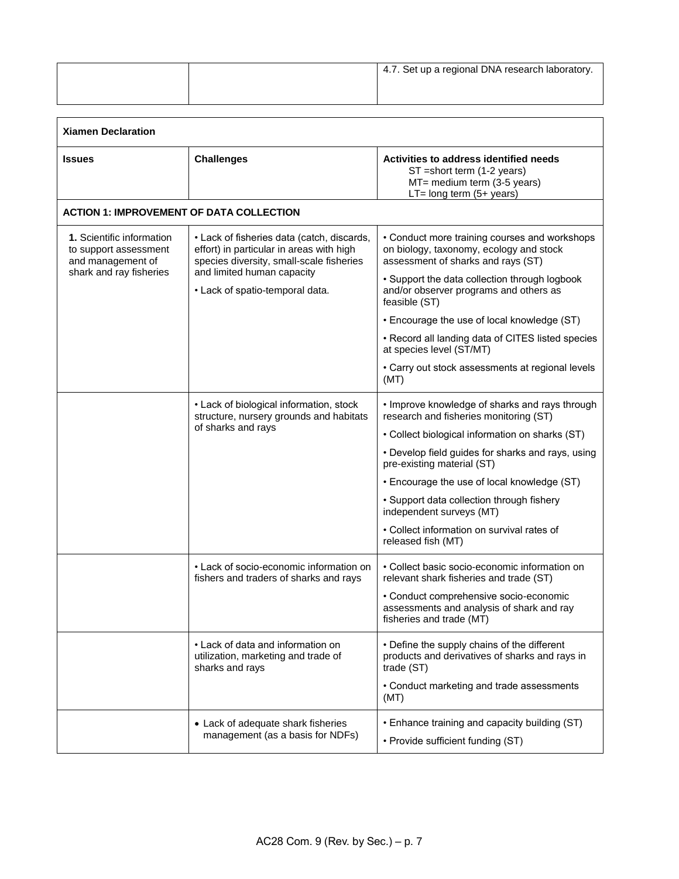|  | 4.7. Set up a regional DNA research laboratory. |
|--|-------------------------------------------------|
|  |                                                 |

| <b>Xiamen Declaration</b>                                                                                 |                                                                                                                                    |                                                                                                                                      |
|-----------------------------------------------------------------------------------------------------------|------------------------------------------------------------------------------------------------------------------------------------|--------------------------------------------------------------------------------------------------------------------------------------|
| <b>Issues</b>                                                                                             | <b>Challenges</b>                                                                                                                  | Activities to address identified needs<br>ST = short term (1-2 years)<br>MT= medium term (3-5 years)<br>$LT = long term (5 + years)$ |
| <b>ACTION 1: IMPROVEMENT OF DATA COLLECTION</b>                                                           |                                                                                                                                    |                                                                                                                                      |
| <b>1.</b> Scientific information<br>to support assessment<br>and management of<br>shark and ray fisheries | • Lack of fisheries data (catch, discards,<br>effort) in particular in areas with high<br>species diversity, small-scale fisheries | • Conduct more training courses and workshops<br>on biology, taxonomy, ecology and stock<br>assessment of sharks and rays (ST)       |
|                                                                                                           | and limited human capacity<br>• Lack of spatio-temporal data.                                                                      | • Support the data collection through logbook<br>and/or observer programs and others as<br>feasible (ST)                             |
|                                                                                                           |                                                                                                                                    | • Encourage the use of local knowledge (ST)                                                                                          |
|                                                                                                           |                                                                                                                                    | • Record all landing data of CITES listed species<br>at species level (ST/MT)                                                        |
|                                                                                                           |                                                                                                                                    | • Carry out stock assessments at regional levels<br>(MT)                                                                             |
|                                                                                                           | • Lack of biological information, stock<br>structure, nursery grounds and habitats<br>of sharks and rays                           | • Improve knowledge of sharks and rays through<br>research and fisheries monitoring (ST)                                             |
|                                                                                                           |                                                                                                                                    | • Collect biological information on sharks (ST)                                                                                      |
|                                                                                                           |                                                                                                                                    | • Develop field guides for sharks and rays, using<br>pre-existing material (ST)                                                      |
|                                                                                                           |                                                                                                                                    | • Encourage the use of local knowledge (ST)                                                                                          |
|                                                                                                           |                                                                                                                                    | • Support data collection through fishery<br>independent surveys (MT)                                                                |
|                                                                                                           |                                                                                                                                    | • Collect information on survival rates of<br>released fish (MT)                                                                     |
|                                                                                                           | • Lack of socio-economic information on<br>fishers and traders of sharks and rays                                                  | • Collect basic socio-economic information on<br>relevant shark fisheries and trade (ST)                                             |
|                                                                                                           |                                                                                                                                    | • Conduct comprehensive socio-economic<br>assessments and analysis of shark and ray<br>fisheries and trade (MT)                      |
|                                                                                                           | • Lack of data and information on<br>utilization, marketing and trade of<br>sharks and rays                                        | • Define the supply chains of the different<br>products and derivatives of sharks and rays in<br>trade (ST)                          |
|                                                                                                           |                                                                                                                                    | • Conduct marketing and trade assessments<br>(MT)                                                                                    |
|                                                                                                           | • Lack of adequate shark fisheries<br>management (as a basis for NDFs)                                                             | • Enhance training and capacity building (ST)<br>• Provide sufficient funding (ST)                                                   |